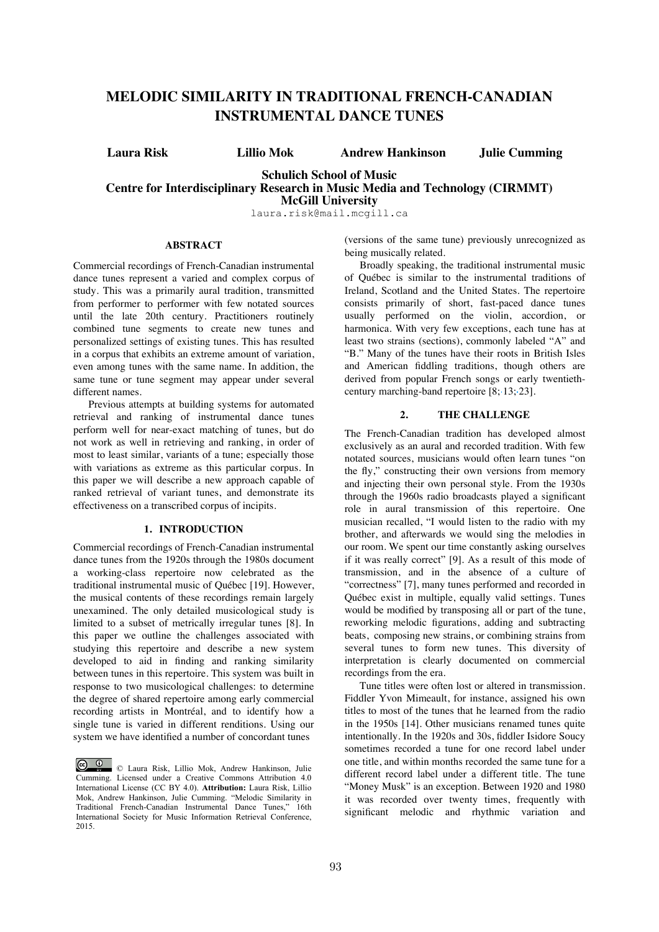# **MELODIC SIMILARITY IN TRADITIONAL FRENCH-CANADIAN INSTRUMENTAL DANCE TUNES**

**Laura Risk Lillio Mok Andrew Hankinson Julie Cumming**

# **Schulich School of Music Centre for Interdisciplinary Research in Music Media and Technology (CIRMMT) McGill University**

laura.risk@mail.mcgill.ca

## **ABSTRACT**

Commercial recordings of French-Canadian instrumental dance tunes represent a varied and complex corpus of study. This was a primarily aural tradition, transmitted from performer to performer with few notated sources until the late 20th century. Practitioners routinely combined tune segments to create new tunes and personalized settings of existing tunes. This has resulted in a corpus that exhibits an extreme amount of variation, even among tunes with the same name. In addition, the same tune or tune segment may appear under several different names.

Previous attempts at building systems for automated retrieval and ranking of instrumental dance tunes perform well for near-exact matching of tunes, but do not work as well in retrieving and ranking, in order of most to least similar, variants of a tune; especially those with variations as extreme as this particular corpus. In this paper we will describe a new approach capable of ranked retrieval of variant tunes, and demonstrate its effectiveness on a transcribed corpus of incipits.

# **1. INTRODUCTION**

Commercial recordings of French-Canadian instrumental dance tunes from the 1920s through the 1980s document a working-class repertoire now celebrated as the traditional instrumental music of Québec [19]. However, the musical contents of these recordings remain largely unexamined. The only detailed musicological study is limited to a subset of metrically irregular tunes [8]. In this paper we outline the challenges associated with studying this repertoire and describe a new system developed to aid in finding and ranking similarity between tunes in this repertoire. This system was built in response to two musicological challenges: to determine the degree of shared repertoire among early commercial recording artists in Montréal, and to identify how a single tune is varied in different renditions. Using our system we have identified a number of concordant tunes

(versions of the same tune) previously unrecognized as being musically related.

Broadly speaking, the traditional instrumental music of Québec is similar to the instrumental traditions of Ireland, Scotland and the United States. The repertoire consists primarily of short, fast-paced dance tunes usually performed on the violin, accordion, or harmonica. With very few exceptions, each tune has at least two strains (sections), commonly labeled "A" and "B." Many of the tunes have their roots in British Isles and American fiddling traditions, though others are derived from popular French songs or early twentiethcentury marching-band repertoire [8; 13; 23].

# **2. THE CHALLENGE**

The French-Canadian tradition has developed almost exclusively as an aural and recorded tradition. With few notated sources, musicians would often learn tunes "on the fly," constructing their own versions from memory and injecting their own personal style. From the 1930s through the 1960s radio broadcasts played a significant role in aural transmission of this repertoire. One musician recalled, "I would listen to the radio with my brother, and afterwards we would sing the melodies in our room. We spent our time constantly asking ourselves if it was really correct" [9]. As a result of this mode of transmission, and in the absence of a culture of "correctness" [7], many tunes performed and recorded in Québec exist in multiple, equally valid settings. Tunes would be modified by transposing all or part of the tune, reworking melodic figurations, adding and subtracting beats, composing new strains, or combining strains from several tunes to form new tunes. This diversity of interpretation is clearly documented on commercial recordings from the era.

Tune titles were often lost or altered in transmission. Fiddler Yvon Mimeault, for instance, assigned his own titles to most of the tunes that he learned from the radio in the 1950s [14]. Other musicians renamed tunes quite intentionally. In the 1920s and 30s, fiddler Isidore Soucy sometimes recorded a tune for one record label under one title, and within months recorded the same tune for a different record label under a different title. The tune "Money Musk" is an exception. Between 1920 and 1980 it was recorded over twenty times, frequently with significant melodic and rhythmic variation and

<sup>©</sup> Laura Risk, Lillio Mok, Andrew Hankinson, Julie Cumming. Licensed under a Creative Commons Attribution 4.0 International License (CC BY 4.0). **Attribution:** Laura Risk, Lillio Mok, Andrew Hankinson, Julie Cumming. "Melodic Similarity in Traditional French-Canadian Instrumental Dance Tunes," 16th International Society for Music Information Retrieval Conference, 2015.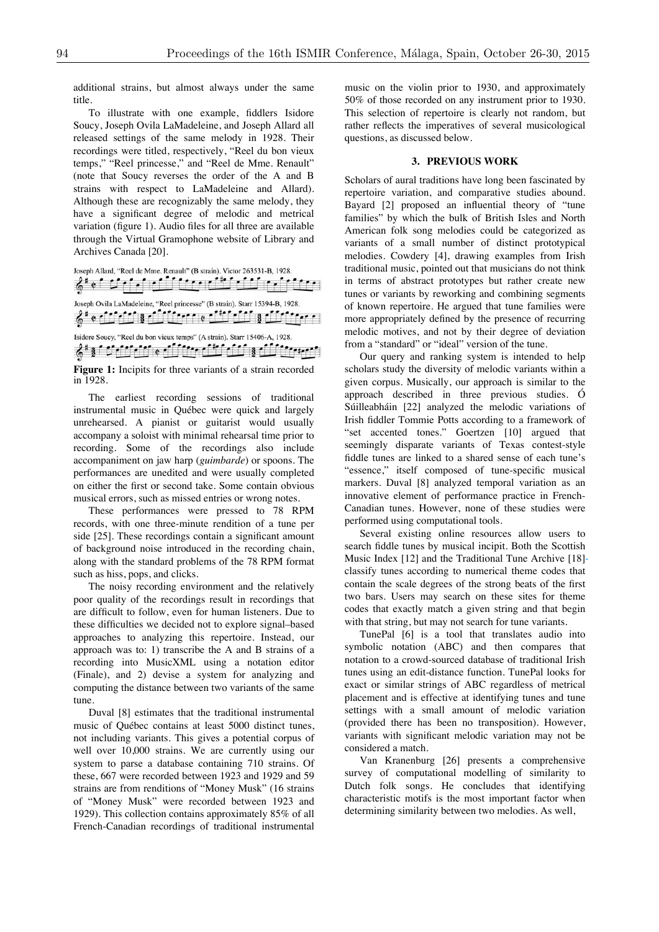additional strains, but almost always under the same title.

To illustrate with one example, fiddlers Isidore Soucy, Joseph Ovila LaMadeleine, and Joseph Allard all released settings of the same melody in 1928. Their recordings were titled, respectively, "Reel du bon vieux temps," "Reel princesse," and "Reel de Mme. Renault" (note that Soucy reverses the order of the A and B strains with respect to LaMadeleine and Allard). Although these are recognizably the same melody, they have a significant degree of melodic and metrical variation (figure 1). Audio files for all three are available through the Virtual Gramophone website of Library and Archives Canada [20].

Joseph Allard, "Reel de Mme. Renault" (B strain). Victor 263531-B, 1928. Gio del chi di tre di di chi delle Joseph Ovila LaMadeleine, "Reel princesse" (B strain). Starr 15394-B, 1928.  $6^{\frac{1}{2}}$  e chance is chance entering the state of  $\frac{1}{2}$ Isidore Soucy, "Reel du bon vieux temps" (A strain). Starr 15406-A, 1928.  $\mathcal{E}^* \S \cap \mathcal{C} \cap \mathcal{C} \cap \mathcal{C} \cap \mathcal{C} \neq \emptyset$ 

Figure 1: Incipits for three variants of a strain recorded in 1928.

The earliest recording sessions of traditional instrumental music in Québec were quick and largely unrehearsed. A pianist or guitarist would usually accompany a soloist with minimal rehearsal time prior to recording. Some of the recordings also include accompaniment on jaw harp (*guimbarde*) or spoons. The performances are unedited and were usually completed on either the first or second take. Some contain obvious musical errors, such as missed entries or wrong notes.

These performances were pressed to 78 RPM records, with one three-minute rendition of a tune per side [25]. These recordings contain a significant amount of background noise introduced in the recording chain, along with the standard problems of the 78 RPM format such as hiss, pops, and clicks.

The noisy recording environment and the relatively poor quality of the recordings result in recordings that are difficult to follow, even for human listeners. Due to these difficulties we decided not to explore signal–based approaches to analyzing this repertoire. Instead, our approach was to: 1) transcribe the A and B strains of a recording into MusicXML using a notation editor (Finale), and 2) devise a system for analyzing and computing the distance between two variants of the same tune.

Duval [8] estimates that the traditional instrumental music of Québec contains at least 5000 distinct tunes, not including variants. This gives a potential corpus of well over 10,000 strains. We are currently using our system to parse a database containing 710 strains. Of these, 667 were recorded between 1923 and 1929 and 59 strains are from renditions of "Money Musk" (16 strains of "Money Musk" were recorded between 1923 and 1929). This collection contains approximately 85% of all French-Canadian recordings of traditional instrumental music on the violin prior to 1930, and approximately 50% of those recorded on any instrument prior to 1930. This selection of repertoire is clearly not random, but rather reflects the imperatives of several musicological questions, as discussed below.

#### **3. PREVIOUS WORK**

Scholars of aural traditions have long been fascinated by repertoire variation, and comparative studies abound. Bayard [2] proposed an influential theory of "tune families" by which the bulk of British Isles and North American folk song melodies could be categorized as variants of a small number of distinct prototypical melodies. Cowdery [4], drawing examples from Irish traditional music, pointed out that musicians do not think in terms of abstract prototypes but rather create new tunes or variants by reworking and combining segments of known repertoire. He argued that tune families were more appropriately defined by the presence of recurring melodic motives, and not by their degree of deviation from a "standard" or "ideal" version of the tune.

Our query and ranking system is intended to help scholars study the diversity of melodic variants within a given corpus. Musically, our approach is similar to the approach described in three previous studies. Ó Súilleabháin [22] analyzed the melodic variations of Irish fiddler Tommie Potts according to a framework of "set accented tones." Goertzen [10] argued that seemingly disparate variants of Texas contest-style fiddle tunes are linked to a shared sense of each tune's "essence," itself composed of tune-specific musical markers. Duval [8] analyzed temporal variation as an innovative element of performance practice in French-Canadian tunes. However, none of these studies were performed using computational tools.

Several existing online resources allow users to search fiddle tunes by musical incipit. Both the Scottish Music Index [12] and the Traditional Tune Archive [18] $\cdot$ classify tunes according to numerical theme codes that contain the scale degrees of the strong beats of the first two bars. Users may search on these sites for theme codes that exactly match a given string and that begin with that string, but may not search for tune variants.

TunePal [6] is a tool that translates audio into symbolic notation (ABC) and then compares that notation to a crowd-sourced database of traditional Irish tunes using an edit-distance function. TunePal looks for exact or similar strings of ABC regardless of metrical placement and is effective at identifying tunes and tune settings with a small amount of melodic variation (provided there has been no transposition). However, variants with significant melodic variation may not be considered a match.

Van Kranenburg [26] presents a comprehensive survey of computational modelling of similarity to Dutch folk songs. He concludes that identifying characteristic motifs is the most important factor when determining similarity between two melodies. As well,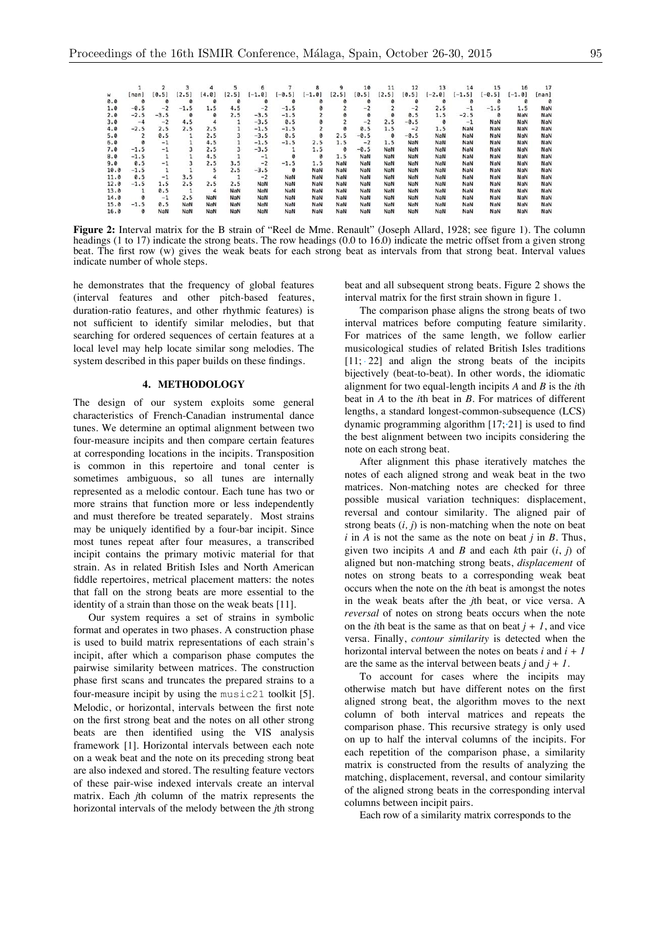|      |                |         |        |       |       | 6        |          | 8        | 9     | 10     | 11    | 12     | 13         | 14       | 15       | 16         | 17    |
|------|----------------|---------|--------|-------|-------|----------|----------|----------|-------|--------|-------|--------|------------|----------|----------|------------|-------|
| w    | [nan]          | [0.5]   | [2.5]  | [4.0] | [2.5] | $[-1.0]$ | $[-0.5]$ | $[-1.0]$ | [2.5] | [0.5]  | [2.5] | [0.5]  | $[-2.0]$   | $[-1.5]$ | $[-0.5]$ | $[-1.0]$   | [nan] |
| 0.0  | ø              | ø       | ø      | 0     | ø     | ø        | 0        |          | ø     | ø      | ø     | 0      | ø          | ø        | ø        |            |       |
| 1.0  | $-0.5$         | $-2$    | $-1.5$ | 1.5   | 4.5   | $-2$     | $-1.5$   |          |       | $-2$   |       | $-2$   | 2.5        | $-1$     | $-1.5$   | 1.5        | NaN   |
| 2.0  | $-2.5$         | $-3.5$  | 0      | 0     | 2.5   | $-3.5$   | $-1.5$   |          |       | 0      | 0     | 0.5    | 1.5        | $-2.5$   | 0        | NaN        | NaN   |
| 3.0  | $-4$           | $-2$    | 4.5    | 4     |       | $-3.5$   | 0.5      |          |       | $-2$   | 2.5   | $-0.5$ | 0          | $-1$     | NaN      | <b>NaN</b> | NaN   |
| 4.0  | $-2.5$         | 2.5     | 2.5    | 2.5   |       | $-1.5$   | $-1.5$   |          |       | 0.5    | 1.5   | $-2$   | 1.5        | NaN      | NaN      | NaN        | NaN   |
| 5.0  | $\overline{2}$ | 0.5     |        | 2.5   | 3     | $-3.5$   | 0.5      |          | 2.5   | $-0.5$ | ø     | $-0.5$ | NaN        | NaN      | NaN      | NaN        | NaN   |
| 6.0  | 0              | $-1$    |        | 4.5   |       | $-1.5$   | $-1.5$   | 2.5      | 1.5   | $-2$   | 1.5   | NaN    | NaN        | NaN      | NaN      | NaN        | NaN   |
| 7.0  | $-1.5$         | $-1$    |        | 2.5   | 3     | $-3.5$   |          | 1.5      | ø     | $-0.5$ | NaN   | NaN    | NaN        | NaN      | NaN      | NaN        | NaN   |
| 8.0  | $-1.5$         |         |        | 4.5   |       | $-1$     | ø        | Ø        | 1.5   | NaN    | NaN   | NaN    | NaN        | NaN      | NaN      | NaN        | NaN   |
| 9.0  | 0.5            | $-1$    | 3      | 2.5   | 3.5   | $-2$     | $-1.5$   | 1.5      | NaN   | NaN    | NaN   | NaN    | <b>NaN</b> | NaN      | NaN      | NaN        | NaN   |
| 10.0 | $-1.5$         |         |        | 5     | 2.5   | $-3.5$   | 0        | NaN      | NaN   | NaN    | NaN   | NaN    | NaN        | NaN      | NaN      | NaN        | NaN   |
| 11.0 | 0.5            | $^{-1}$ | 3.5    | 4     | 1     | $-2$     | NaN      | NaN      | NaN   | NaN    | NaN   | NaN    | NaN        | NaN      | NaN      | NaN        | NaN   |
| 12.0 | $-1.5$         | 1.5     | 2.5    | 2.5   | 2.5   | NaN      | NaN      | NaN      | NaN   | NaN    | NaN   | NaN    | NaN        | NaN      | NaN      | NaN        | NaN   |
| 13.0 |                | 0.5     |        | 4     | NaN   | NaN      | NaN      | NaN      | NaN   | NaN    | NaN   | NaN    | NaN        | NaN      | NaN      | NaN        | NaN   |
| 14.0 | ø              | $^{-1}$ | 2.5    | NaN   | NaN   | NaN      | NaN      | NaN      | NaN   | NaN    | NaN   | NaN    | NaN        | NaN      | NaN      | NaN        | NaN   |
| 15.0 | $-1.5$         | 0.5     | NaN    | NaN   | NaN   | NaN      | NaN      | NaN      | NaN   | NaN    | NaN   | NaN    | NaN        | NaN      | NaN      | NaN        | NaN   |
| 16.0 | ø              | NaN     | NaN    | NaN   | NaN   | NaN      | NaN      | NaN      | NaN   | NaN    | NaN   | NaN    | NaN        | NaN      | NaN      | NaN        | NaN   |

**Figure 2:** Interval matrix for the B strain of "Reel de Mme. Renault" (Joseph Allard, 1928; see figure 1). The column headings (1 to 17) indicate the strong beats. The row headings (0.0 to 16.0) indicate the metric offset from a given strong beat. The first row (w) gives the weak beats for each strong beat as intervals from that strong beat. Interval values indicate number of whole steps.

he demonstrates that the frequency of global features (interval features and other pitch-based features, duration-ratio features, and other rhythmic features) is not sufficient to identify similar melodies, but that searching for ordered sequences of certain features at a local level may help locate similar song melodies. The system described in this paper builds on these findings.

## **4. METHODOLOGY**

The design of our system exploits some general characteristics of French-Canadian instrumental dance tunes. We determine an optimal alignment between two four-measure incipits and then compare certain features at corresponding locations in the incipits. Transposition is common in this repertoire and tonal center is sometimes ambiguous, so all tunes are internally represented as a melodic contour. Each tune has two or more strains that function more or less independently and must therefore be treated separately. Most strains may be uniquely identified by a four-bar incipit. Since most tunes repeat after four measures, a transcribed incipit contains the primary motivic material for that strain. As in related British Isles and North American fiddle repertoires, metrical placement matters: the notes that fall on the strong beats are more essential to the identity of a strain than those on the weak beats [11].

Our system requires a set of strains in symbolic format and operates in two phases. A construction phase is used to build matrix representations of each strain's incipit, after which a comparison phase computes the pairwise similarity between matrices. The construction phase first scans and truncates the prepared strains to a four-measure incipit by using the music21 toolkit [5]. Melodic, or horizontal, intervals between the first note on the first strong beat and the notes on all other strong beats are then identified using the VIS analysis framework [1]. Horizontal intervals between each note on a weak beat and the note on its preceding strong beat are also indexed and stored. The resulting feature vectors of these pair-wise indexed intervals create an interval matrix. Each *j*th column of the matrix represents the horizontal intervals of the melody between the *j*th strong beat and all subsequent strong beats. Figure 2 shows the interval matrix for the first strain shown in figure 1.

The comparison phase aligns the strong beats of two interval matrices before computing feature similarity. For matrices of the same length, we follow earlier musicological studies of related British Isles traditions  $[11; 22]$  and align the strong beats of the incipits bijectively (beat-to-beat). In other words, the idiomatic alignment for two equal-length incipits *A* and *B* is the *i*th beat in *A* to the *i*th beat in *B*. For matrices of different lengths, a standard longest-common-subsequence (LCS) dynamic programming algorithm [17; 21] is used to find the best alignment between two incipits considering the note on each strong beat.

After alignment this phase iteratively matches the notes of each aligned strong and weak beat in the two matrices. Non-matching notes are checked for three possible musical variation techniques: displacement, reversal and contour similarity. The aligned pair of strong beats  $(i, j)$  is non-matching when the note on beat  $i$  in  $A$  is not the same as the note on beat  $j$  in  $B$ . Thus, given two incipits *A* and *B* and each *k*th pair (*i*, *j*) of aligned but non-matching strong beats, *displacement* of notes on strong beats to a corresponding weak beat occurs when the note on the *i*th beat is amongst the notes in the weak beats after the *j*th beat, or vice versa. A *reversal* of notes on strong beats occurs when the note on the *i*th beat is the same as that on beat  $j + 1$ , and vice versa. Finally, *contour similarity* is detected when the horizontal interval between the notes on beats *i* and *i+1* are the same as the interval between beats *j* and *j + 1*.

To account for cases where the incipits may otherwise match but have different notes on the first aligned strong beat, the algorithm moves to the next column of both interval matrices and repeats the comparison phase. This recursive strategy is only used on up to half the interval columns of the incipits. For each repetition of the comparison phase, a similarity matrix is constructed from the results of analyzing the matching, displacement, reversal, and contour similarity of the aligned strong beats in the corresponding interval columns between incipit pairs.

Each row of a similarity matrix corresponds to the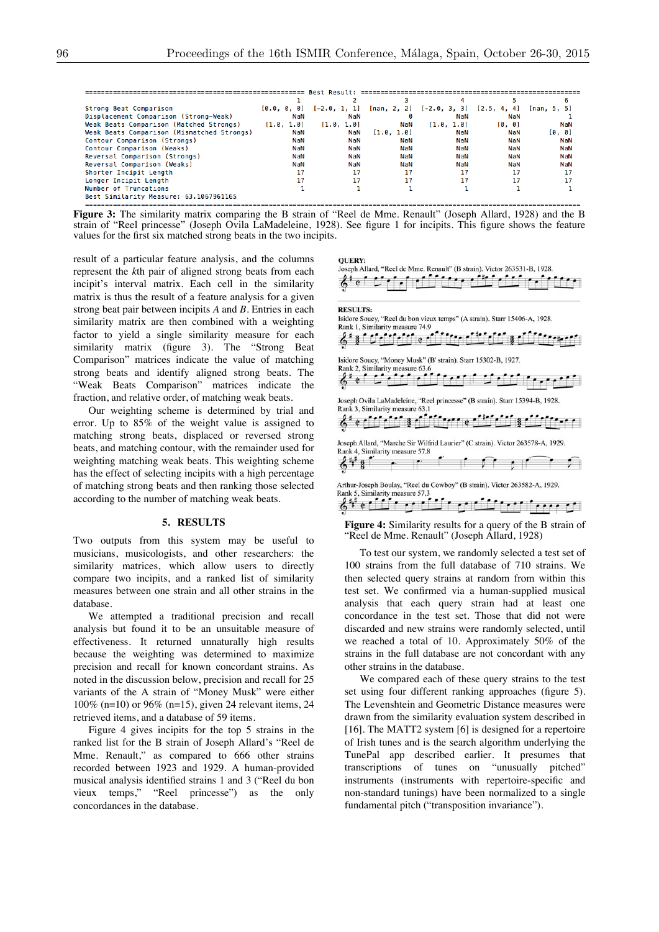| Strong Beat Comparison                     |            | $[0.0, 0, 0]$ $[-2.0, 1, 1]$ $[nan, 2, 2]$ $[-2.0, 3, 3]$ $[2.5, 4, 4]$ |           |            |        | [nan, 5, 5] |
|--------------------------------------------|------------|-------------------------------------------------------------------------|-----------|------------|--------|-------------|
| Displacement Comparison (Strong-Weak)      | NaN        | NaN                                                                     | ø         | NaN        | NaN    |             |
| Weak Beats Comparison (Matched Strongs)    | [1.0, 1.0] | [1.0, 1.0]                                                              | NaN       | [1.0, 1.0] | [0, 0] | NaN         |
| Weak Beats Comparison (Mismatched Strongs) | NaN        | NaN                                                                     | [1.0.1.0] | NaN        | NaN    | [0, 0]      |
| Contour Comparison (Strongs)               | NaN        | NaN                                                                     | NaN       | NaN        | NaN    | NaN         |
| Contour Comparison (Weaks)                 | NaN        | NaN                                                                     | NaN       | NaN        | NaN    | NaN         |
| Reversal Comparison (Strongs)              | NaN        | NaN                                                                     | NaN       | NaN        | NaN    | NaN         |
| Reversal Comparison (Weaks)                | NaN        | NaN                                                                     | NaN       | NaN        | NaN    | NaN         |
| Shorter Incipit Length                     | 17         | 17                                                                      | 17        | 17         | 17     | 17          |
| Longer Incipit Length                      | 17         | 17                                                                      | 17        | 17         | 17     |             |
| Number of Truncations                      |            |                                                                         |           |            |        |             |
| Best Similarity Measure: 63.1067961165     |            |                                                                         |           |            |        |             |
|                                            |            |                                                                         |           |            |        |             |

**Figure 3:** The similarity matrix comparing the B strain of "Reel de Mme. Renault" (Joseph Allard, 1928) and the B strain of "Reel princesse" (Joseph Ovila LaMadeleine, 1928). See figure 1 for incipits. This figure shows the feature values for the first six matched strong beats in the two incipits.

result of a particular feature analysis, and the columns represent the *k*th pair of aligned strong beats from each incipit's interval matrix. Each cell in the similarity matrix is thus the result of a feature analysis for a given strong beat pair between incipits *A* and *B*. Entries in each similarity matrix are then combined with a weighting factor to yield a single similarity measure for each similarity matrix (figure 3). The "Strong Beat Comparison" matrices indicate the value of matching strong beats and identify aligned strong beats. The "Weak Beats Comparison" matrices indicate the fraction, and relative order, of matching weak beats.

Our weighting scheme is determined by trial and error. Up to 85% of the weight value is assigned to matching strong beats, displaced or reversed strong beats, and matching contour, with the remainder used for weighting matching weak beats. This weighting scheme has the effect of selecting incipits with a high percentage of matching strong beats and then ranking those selected according to the number of matching weak beats.

#### **5. RESULTS**

Two outputs from this system may be useful to musicians, musicologists, and other researchers: the similarity matrices, which allow users to directly compare two incipits, and a ranked list of similarity measures between one strain and all other strains in the database.

We attempted a traditional precision and recall analysis but found it to be an unsuitable measure of effectiveness. It returned unnaturally high results because the weighting was determined to maximize precision and recall for known concordant strains. As noted in the discussion below, precision and recall for 25 variants of the A strain of "Money Musk" were either 100% (n=10) or 96% (n=15), given 24 relevant items, 24 retrieved items, and a database of 59 items.

Figure 4 gives incipits for the top 5 strains in the ranked list for the B strain of Joseph Allard's "Reel de Mme. Renault," as compared to 666 other strains recorded between 1923 and 1929. A human-provided musical analysis identified strains 1 and 3 ("Reel du bon vieux temps," "Reel princesse") as the only concordances in the database.

**OUERY:** Joseph Allard, "Reel de Mme, Renault" (B strain), Victor 263531-B, 1928.



|  |  |  |  | $\cdots$ |
|--|--|--|--|----------|

**Figure 4:** Similarity results for a query of the B strain of "Reel de Mme. Renault" (Joseph Allard, 1928)

To test our system, we randomly selected a test set of 100 strains from the full database of 710 strains. We then selected query strains at random from within this test set. We confirmed via a human-supplied musical analysis that each query strain had at least one concordance in the test set. Those that did not were discarded and new strains were randomly selected, until we reached a total of 10. Approximately 50% of the strains in the full database are not concordant with any other strains in the database.

We compared each of these query strains to the test set using four different ranking approaches (figure 5). The Levenshtein and Geometric Distance measures were drawn from the similarity evaluation system described in [16]. The MATT2 system [6] is designed for a repertoire of Irish tunes and is the search algorithm underlying the TunePal app described earlier. It presumes that transcriptions of tunes on "unusually pitched" instruments (instruments with repertoire-specific and non-standard tunings) have been normalized to a single fundamental pitch ("transposition invariance").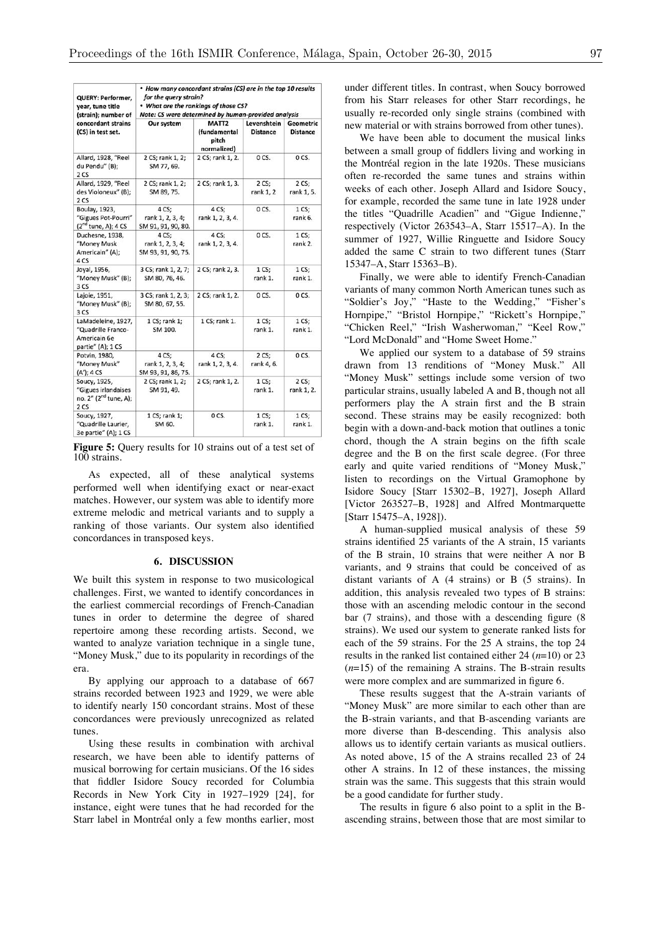| QUERY: Performer,<br>year, tune title<br>(strain); number of                     | • How many concordant strains (CS) are in the top 10 results<br>for the query strain?<br>• What are the rankings of those CS?<br>Note: CS were determined by human-provided analysis |                                                           |                                |                                     |  |  |  |  |
|----------------------------------------------------------------------------------|--------------------------------------------------------------------------------------------------------------------------------------------------------------------------------------|-----------------------------------------------------------|--------------------------------|-------------------------------------|--|--|--|--|
| concordant strains<br>(CS) in test set.                                          | Our system                                                                                                                                                                           | MATT <sub>2</sub><br>(fundamental<br>pitch<br>normalized) | Levenshtein<br><b>Distance</b> | <b>Geometric</b><br><b>Distance</b> |  |  |  |  |
| Allard, 1928, "Reel<br>du Pendu" (B);<br>2 CS                                    | 2 CS; rank 1, 2;<br>SM 77, 69.                                                                                                                                                       | 2 CS; rank 1, 2.                                          | O CS.                          | O CS.                               |  |  |  |  |
| Allard, 1929, "Reel<br>des Violoneux" (B);<br>2 CS                               | 2 CS; rank 1, 2;<br>SM 89, 75.                                                                                                                                                       | 2 CS; rank 1, 3.                                          | 2CS<br>rank 1, 2               | 2 CS;<br>rank 1, 5.                 |  |  |  |  |
| Boulay, 1923,<br>"Gigues Pot-Pourri"<br>$(2nd$ tune, A); 4 CS                    | 4 CS;<br>rank 1, 2, 3, 4;<br>SM 91, 91, 90, 80.                                                                                                                                      | 4 CS;<br>rank 1, 2, 3, 4.                                 | O CS.                          | 1 <sub>CS</sub><br>rank 6.          |  |  |  |  |
| Duchesne, 1938,<br>"Money Musk<br>Americain" (A):<br>4 CS                        | 4 CS:<br>rank 1, 2, 3, 4;<br>SM 93, 91, 90, 75.                                                                                                                                      | 4 CS;<br>rank 1, 2, 3, 4.                                 | O CS.                          | 1 <sub>CS</sub><br>rank 2.          |  |  |  |  |
| Joyal, 1956,<br>"Money Musk" (B);<br>3 CS                                        | 3 CS; rank 1, 2, 7;<br>SM 80, 76, 46.                                                                                                                                                | 2 CS; rank 2, 3.                                          | 1CS<br>rank 1.                 | 1 <sub>CS</sub><br>rank 1.          |  |  |  |  |
| Lajoie, 1951,<br>"Money Musk" (B);<br>3 CS                                       | 3 CS; rank 1, 2, 3;<br>SM 80, 67, 55.                                                                                                                                                | 2 CS; rank 1, 2.                                          | OCS.                           | O CS.                               |  |  |  |  |
| LaMadeleine, 1927,<br>"Quadrille Franco-<br>Americain 6e<br>partie" (A); 1 CS    | 1 CS; rank 1;<br>SM 100.                                                                                                                                                             | 1 CS; rank 1.                                             | 1 <sub>CS</sub><br>rank 1.     | 1 <sub>CS</sub><br>rank 1.          |  |  |  |  |
| Potvin, 1980,<br>"Money Musk"<br>(A'); 4 CS                                      | 4 CS:<br>rank 1, 2, 3, 4;<br>SM 93, 91, 86, 75.                                                                                                                                      | 4 CS:<br>rank 1, 2, 3, 4.                                 | 2CS<br>rank 4, 6.              | O CS.                               |  |  |  |  |
| Soucy, 1925,<br>"Gigues irlandaises<br>no. 2" (2 <sup>nd</sup> tune, A);<br>2 CS | 2 CS; rank 1, 2;<br>SM 91, 49.                                                                                                                                                       | 2 CS; rank 1, 2.                                          | 1 <sub>CS</sub><br>rank 1.     | 2 CS:<br>rank 1, 2.                 |  |  |  |  |
| Soucy, 1927,<br>"Quadrille Laurier,<br>3e partie" (A); 1 CS                      | 1 CS; rank 1;<br>SM 60.                                                                                                                                                              | OCS.                                                      | 1 <sub>CS</sub><br>rank 1.     | 1 <sub>CS</sub><br>rank 1.          |  |  |  |  |

**Figure 5:** Query results for 10 strains out of a test set of 100 strains.

As expected, all of these analytical systems performed well when identifying exact or near-exact matches. However, our system was able to identify more extreme melodic and metrical variants and to supply a ranking of those variants. Our system also identified concordances in transposed keys.

## **6. DISCUSSION**

We built this system in response to two musicological challenges. First, we wanted to identify concordances in the earliest commercial recordings of French-Canadian tunes in order to determine the degree of shared repertoire among these recording artists. Second, we wanted to analyze variation technique in a single tune, "Money Musk," due to its popularity in recordings of the era.

By applying our approach to a database of 667 strains recorded between 1923 and 1929, we were able to identify nearly 150 concordant strains. Most of these concordances were previously unrecognized as related tunes.

Using these results in combination with archival research, we have been able to identify patterns of musical borrowing for certain musicians. Of the 16 sides that fiddler Isidore Soucy recorded for Columbia Records in New York City in 1927–1929 [24], for instance, eight were tunes that he had recorded for the Starr label in Montréal only a few months earlier, most under different titles. In contrast, when Soucy borrowed from his Starr releases for other Starr recordings, he usually re-recorded only single strains (combined with new material or with strains borrowed from other tunes).

We have been able to document the musical links between a small group of fiddlers living and working in the Montréal region in the late 1920s. These musicians often re-recorded the same tunes and strains within weeks of each other. Joseph Allard and Isidore Soucy, for example, recorded the same tune in late 1928 under the titles "Quadrille Acadien" and "Gigue Indienne," respectively (Victor 263543–A, Starr 15517–A). In the summer of 1927, Willie Ringuette and Isidore Soucy added the same C strain to two different tunes (Starr 15347–A, Starr 15363–B).

Finally, we were able to identify French-Canadian variants of many common North American tunes such as "Soldier's Joy," "Haste to the Wedding," "Fisher's Hornpipe," "Bristol Hornpipe," "Rickett's Hornpipe," "Chicken Reel," "Irish Washerwoman," "Keel Row," "Lord McDonald" and "Home Sweet Home."

We applied our system to a database of 59 strains drawn from 13 renditions of "Money Musk." All "Money Musk" settings include some version of two particular strains, usually labeled A and B, though not all performers play the A strain first and the B strain second. These strains may be easily recognized: both begin with a down-and-back motion that outlines a tonic chord, though the A strain begins on the fifth scale degree and the B on the first scale degree. (For three early and quite varied renditions of "Money Musk," listen to recordings on the Virtual Gramophone by Isidore Soucy [Starr 15302–B, 1927], Joseph Allard [Victor 263527–B, 1928] and Alfred Montmarquette [Starr 15475–A, 1928]).

A human-supplied musical analysis of these 59 strains identified 25 variants of the A strain, 15 variants of the B strain, 10 strains that were neither A nor B variants, and 9 strains that could be conceived of as distant variants of A (4 strains) or B (5 strains). In addition, this analysis revealed two types of B strains: those with an ascending melodic contour in the second bar (7 strains), and those with a descending figure (8 strains). We used our system to generate ranked lists for each of the 59 strains. For the 25 A strains, the top 24 results in the ranked list contained either 24 (*n*=10) or 23 (*n*=15) of the remaining A strains. The B-strain results were more complex and are summarized in figure 6.

These results suggest that the A-strain variants of "Money Musk" are more similar to each other than are the B-strain variants, and that B-ascending variants are more diverse than B-descending. This analysis also allows us to identify certain variants as musical outliers. As noted above, 15 of the A strains recalled 23 of 24 other A strains. In 12 of these instances, the missing strain was the same. This suggests that this strain would be a good candidate for further study.

The results in figure 6 also point to a split in the Bascending strains, between those that are most similar to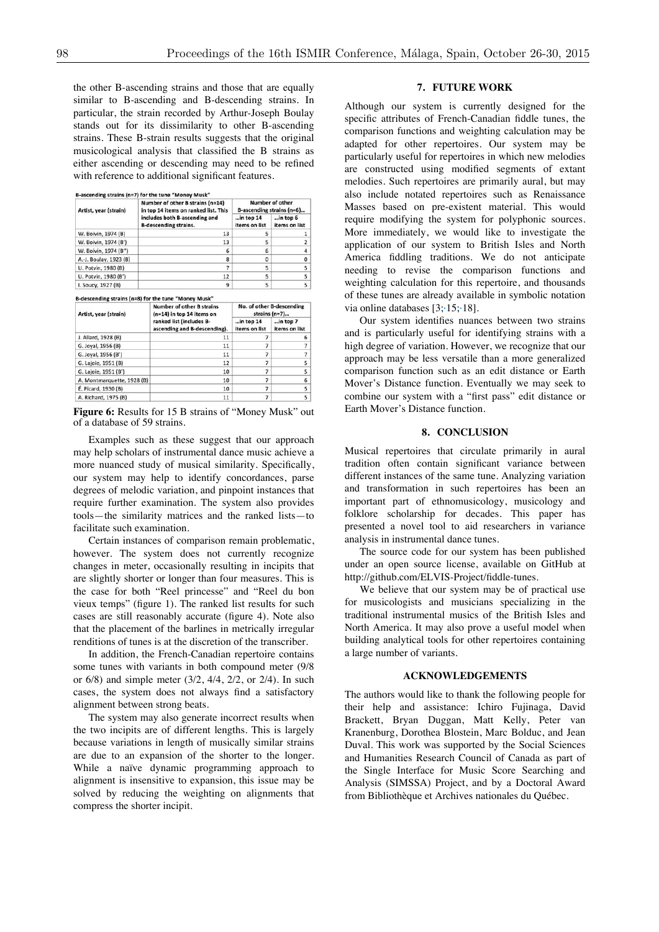the other B-ascending strains and those that are equally similar to B-ascending and B-descending strains. In particular, the strain recorded by Arthur-Joseph Boulay stands out for its dissimilarity to other B-ascending strains. These B-strain results suggests that the original musicological analysis that classified the B strains as either ascending or descending may need to be refined with reference to additional significant features.

| Artist, year (strain)  | Number of other B strains (n=14)<br>in top 14 items on ranked list. This | Number of other<br>B-ascending strains (n=6) |                           |  |  |
|------------------------|--------------------------------------------------------------------------|----------------------------------------------|---------------------------|--|--|
|                        | includes both B-ascending and<br><b>B-descending strains.</b>            | $in top 14$<br>items on list                 | in top 6<br>items on list |  |  |
| W. Boivin, 1974 (B)    | 13                                                                       | 5                                            |                           |  |  |
| W. Boivin, 1974 (B')   | 13                                                                       | 5                                            |                           |  |  |
| W. Boivin, 1974 (B")   | 6                                                                        | 6                                            |                           |  |  |
| A.-J. Boulay, 1923 (B) | 8                                                                        | o                                            | 0                         |  |  |
| U. Potvin, 1980 (B)    |                                                                          | 5                                            | 5                         |  |  |
| U. Potvin, 1980 (B')   | 12                                                                       | 5                                            | 5.                        |  |  |
| I. Soucy, 1927 (B)     | 9                                                                        | 5                                            | 5                         |  |  |

| Artist, year (strain)      | <b>Number of other B strains</b><br>$(n=14)$ in top 14 items on | No. of other B-descending<br>strains (n=7) |                           |  |  |
|----------------------------|-----------------------------------------------------------------|--------------------------------------------|---------------------------|--|--|
|                            | ranked list (includes B-<br>ascending and B-descending).        | $$ in top 14<br>items on list              | in top 7<br>items on list |  |  |
| J. Allard, 1928 (B)        | 11                                                              |                                            | 6                         |  |  |
| G. Joyal, 1956 (B)         | 11                                                              |                                            |                           |  |  |
| G. Joyal, 1956 (B')        | 11                                                              |                                            |                           |  |  |
| G. Lajoie, 1951 (B)        | 12                                                              |                                            | 5 <sup>1</sup>            |  |  |
| G. Lajoie, 1951 (B')       | 10                                                              |                                            | 5 <sup>1</sup>            |  |  |
| A. Montmarquette, 1928 (B) | 10                                                              |                                            | 6                         |  |  |
| É. Picard, 1930 (B)        | 10                                                              |                                            | 5                         |  |  |
| A. Richard, 1975 (B)       | 11                                                              |                                            | 5                         |  |  |

Figure 6: Results for 15 B strains of "Money Musk" out of a database of 59 strains.

Examples such as these suggest that our approach may help scholars of instrumental dance music achieve a more nuanced study of musical similarity. Specifically, our system may help to identify concordances, parse degrees of melodic variation, and pinpoint instances that require further examination. The system also provides tools—the similarity matrices and the ranked lists—to facilitate such examination.

Certain instances of comparison remain problematic, however. The system does not currently recognize changes in meter, occasionally resulting in incipits that are slightly shorter or longer than four measures. This is the case for both "Reel princesse" and "Reel du bon vieux temps" (figure 1). The ranked list results for such cases are still reasonably accurate (figure 4). Note also that the placement of the barlines in metrically irregular renditions of tunes is at the discretion of the transcriber.

In addition, the French-Canadian repertoire contains some tunes with variants in both compound meter (9/8 or 6/8) and simple meter (3/2, 4/4, 2/2, or 2/4). In such cases, the system does not always find a satisfactory alignment between strong beats.

The system may also generate incorrect results when the two incipits are of different lengths. This is largely because variations in length of musically similar strains are due to an expansion of the shorter to the longer. While a naïve dynamic programming approach to alignment is insensitive to expansion, this issue may be solved by reducing the weighting on alignments that compress the shorter incipit.

#### **7. FUTURE WORK**

Although our system is currently designed for the specific attributes of French-Canadian fiddle tunes, the comparison functions and weighting calculation may be adapted for other repertoires. Our system may be particularly useful for repertoires in which new melodies are constructed using modified segments of extant melodies. Such repertoires are primarily aural, but may also include notated repertoires such as Renaissance Masses based on pre-existent material. This would require modifying the system for polyphonic sources. More immediately, we would like to investigate the application of our system to British Isles and North America fiddling traditions. We do not anticipate needing to revise the comparison functions and weighting calculation for this repertoire, and thousands of these tunes are already available in symbolic notation via online databases [3; 15; 18].

Our system identifies nuances between two strains and is particularly useful for identifying strains with a high degree of variation. However, we recognize that our approach may be less versatile than a more generalized comparison function such as an edit distance or Earth Mover's Distance function. Eventually we may seek to combine our system with a "first pass" edit distance or Earth Mover's Distance function.

# **8. CONCLUSION**

Musical repertoires that circulate primarily in aural tradition often contain significant variance between different instances of the same tune. Analyzing variation and transformation in such repertoires has been an important part of ethnomusicology, musicology and folklore scholarship for decades. This paper has presented a novel tool to aid researchers in variance analysis in instrumental dance tunes.

The source code for our system has been published under an open source license, available on GitHub at http://github.com/ELVIS-Project/fiddle-tunes.

We believe that our system may be of practical use for musicologists and musicians specializing in the traditional instrumental musics of the British Isles and North America. It may also prove a useful model when building analytical tools for other repertoires containing a large number of variants.

## **ACKNOWLEDGEMENTS**

The authors would like to thank the following people for their help and assistance: Ichiro Fujinaga, David Brackett, Bryan Duggan, Matt Kelly, Peter van Kranenburg, Dorothea Blostein, Marc Bolduc, and Jean Duval. This work was supported by the Social Sciences and Humanities Research Council of Canada as part of the Single Interface for Music Score Searching and Analysis (SIMSSA) Project, and by a Doctoral Award from Bibliothèque et Archives nationales du Québec.